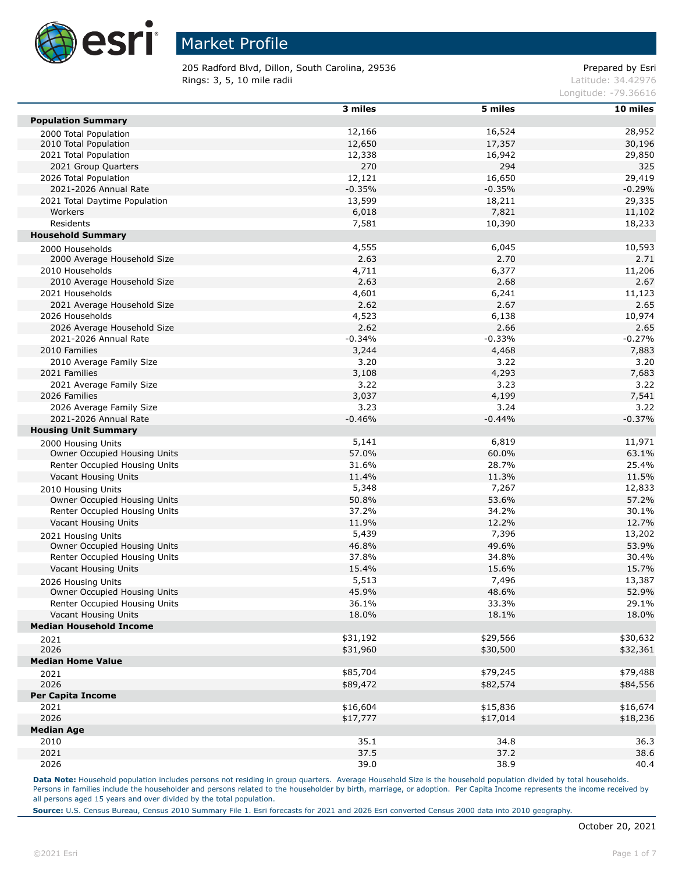

205 Radford Blvd, Dillon, South Carolina, 29536 Prepared by Esri **Rings: 3, 5, 10 mile radii**  $\blacksquare$  **Rings: 3, 5, 10 mile radii**  $\blacksquare$ 

Longitude: -79.36616

|                                | 3 miles  | 5 miles  | 10 miles |
|--------------------------------|----------|----------|----------|
| <b>Population Summary</b>      |          |          |          |
| 2000 Total Population          | 12,166   | 16,524   | 28,952   |
| 2010 Total Population          | 12,650   | 17,357   | 30,196   |
| 2021 Total Population          | 12,338   | 16,942   | 29,850   |
| 2021 Group Quarters            | 270      | 294      | 325      |
| 2026 Total Population          | 12,121   | 16,650   | 29,419   |
| 2021-2026 Annual Rate          | $-0.35%$ | $-0.35%$ | $-0.29%$ |
| 2021 Total Daytime Population  | 13,599   | 18,211   | 29,335   |
| Workers                        | 6,018    | 7,821    | 11,102   |
| Residents                      | 7,581    | 10,390   | 18,233   |
| <b>Household Summary</b>       |          |          |          |
| 2000 Households                | 4,555    | 6,045    | 10,593   |
| 2000 Average Household Size    | 2.63     | 2.70     | 2.71     |
| 2010 Households                | 4,711    | 6,377    | 11,206   |
| 2010 Average Household Size    | 2.63     | 2.68     | 2.67     |
| 2021 Households                | 4,601    | 6,241    | 11,123   |
| 2021 Average Household Size    | 2.62     | 2.67     | 2.65     |
| 2026 Households                | 4,523    | 6,138    | 10,974   |
| 2026 Average Household Size    | 2.62     | 2.66     | 2.65     |
| 2021-2026 Annual Rate          | $-0.34%$ | $-0.33%$ | $-0.27%$ |
| 2010 Families                  | 3,244    | 4,468    | 7,883    |
| 2010 Average Family Size       | 3.20     | 3.22     | 3.20     |
| 2021 Families                  | 3,108    | 4,293    | 7,683    |
| 2021 Average Family Size       | 3.22     | 3.23     | 3.22     |
| 2026 Families                  | 3,037    | 4,199    | 7,541    |
| 2026 Average Family Size       | 3.23     | 3.24     | 3.22     |
| 2021-2026 Annual Rate          | $-0.46%$ | $-0.44%$ | $-0.37%$ |
| <b>Housing Unit Summary</b>    |          |          |          |
| 2000 Housing Units             | 5,141    | 6,819    | 11,971   |
| Owner Occupied Housing Units   | 57.0%    | 60.0%    | 63.1%    |
| Renter Occupied Housing Units  | 31.6%    | 28.7%    | 25.4%    |
| Vacant Housing Units           | 11.4%    | 11.3%    | 11.5%    |
| 2010 Housing Units             | 5,348    | 7,267    | 12,833   |
| Owner Occupied Housing Units   | 50.8%    | 53.6%    | 57.2%    |
| Renter Occupied Housing Units  | 37.2%    | 34.2%    | 30.1%    |
| Vacant Housing Units           | 11.9%    | 12.2%    | 12.7%    |
| 2021 Housing Units             | 5,439    | 7,396    | 13,202   |
| Owner Occupied Housing Units   | 46.8%    | 49.6%    | 53.9%    |
| Renter Occupied Housing Units  | 37.8%    | 34.8%    | 30.4%    |
| Vacant Housing Units           | 15.4%    | 15.6%    | 15.7%    |
| 2026 Housing Units             | 5,513    | 7,496    | 13,387   |
| Owner Occupied Housing Units   | 45.9%    | 48.6%    | 52.9%    |
| Renter Occupied Housing Units  | 36.1%    | 33.3%    | 29.1%    |
| Vacant Housing Units           | 18.0%    | 18.1%    | 18.0%    |
| <b>Median Household Income</b> |          |          |          |
|                                | \$31,192 | \$29,566 | \$30,632 |
| 2021<br>2026                   | \$31,960 | \$30,500 | \$32,361 |
| <b>Median Home Value</b>       |          |          |          |
|                                | \$85,704 | \$79,245 | \$79,488 |
| 2021<br>2026                   | \$89,472 | \$82,574 | \$84,556 |
| <b>Per Capita Income</b>       |          |          |          |
| 2021                           | \$16,604 | \$15,836 | \$16,674 |
| 2026                           | \$17,777 | \$17,014 | \$18,236 |
| <b>Median Age</b>              |          |          |          |
| 2010                           | 35.1     | 34.8     | 36.3     |
| 2021                           | 37.5     | 37.2     | 38.6     |
| 2026                           | 39.0     | 38.9     | 40.4     |
|                                |          |          |          |

Data Note: Household population includes persons not residing in group quarters. Average Household Size is the household population divided by total households. Persons in families include the householder and persons related to the householder by birth, marriage, or adoption. Per Capita Income represents the income received by all persons aged 15 years and over divided by the total population.

**Source:** U.S. Census Bureau, Census 2010 Summary File 1. Esri forecasts for 2021 and 2026 Esri converted Census 2000 data into 2010 geography.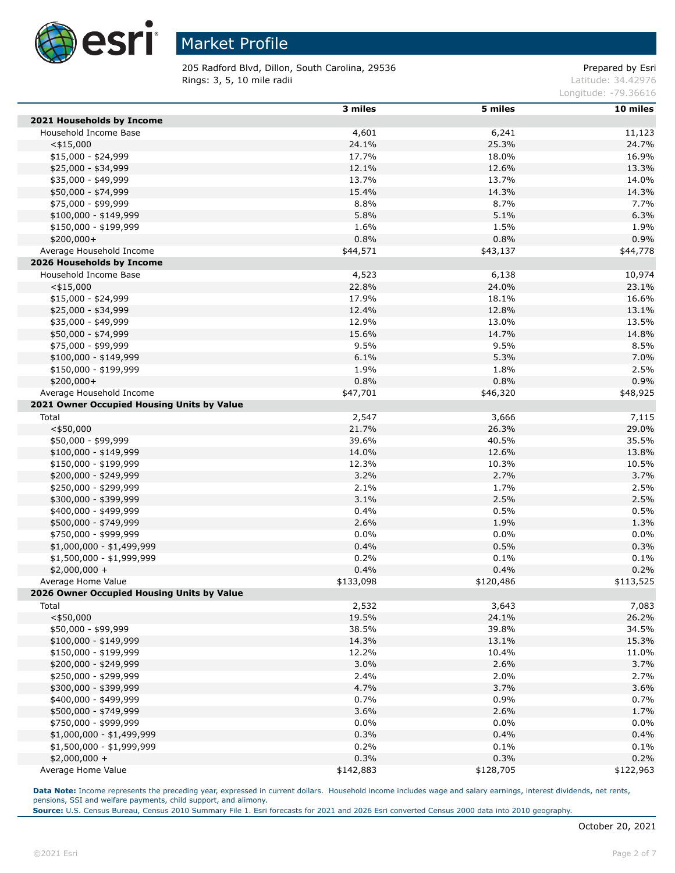

205 Radford Blvd, Dillon, South Carolina, 29536 Prepared by Esri **Rings: 3, 5, 10 mile radii**  $\blacksquare$  **Rings: 3, 5, 10 mile radii**  $\blacksquare$ 

Longitude: -79.36616

|                                            | 3 miles   | 5 miles   | 10 miles  |
|--------------------------------------------|-----------|-----------|-----------|
| 2021 Households by Income                  |           |           |           |
| Household Income Base                      | 4,601     | 6,241     | 11,123    |
| $<$ \$15,000                               | 24.1%     | 25.3%     | 24.7%     |
| \$15,000 - \$24,999                        | 17.7%     | 18.0%     | 16.9%     |
| \$25,000 - \$34,999                        | 12.1%     | 12.6%     | 13.3%     |
| \$35,000 - \$49,999                        | 13.7%     | 13.7%     | 14.0%     |
| \$50,000 - \$74,999                        | 15.4%     | 14.3%     | 14.3%     |
| \$75,000 - \$99,999                        | 8.8%      | 8.7%      | 7.7%      |
| $$100,000 - $149,999$                      | 5.8%      | 5.1%      | 6.3%      |
| \$150,000 - \$199,999                      | 1.6%      | 1.5%      | 1.9%      |
| $$200,000+$                                | 0.8%      | 0.8%      | 0.9%      |
| Average Household Income                   | \$44,571  | \$43,137  | \$44,778  |
| 2026 Households by Income                  |           |           |           |
| Household Income Base                      | 4,523     | 6,138     | 10,974    |
| $<$ \$15,000                               | 22.8%     | 24.0%     | 23.1%     |
| $$15,000 - $24,999$                        | 17.9%     | 18.1%     | 16.6%     |
| \$25,000 - \$34,999                        | 12.4%     | 12.8%     | 13.1%     |
| \$35,000 - \$49,999                        | 12.9%     | 13.0%     | 13.5%     |
| \$50,000 - \$74,999                        | 15.6%     | 14.7%     | 14.8%     |
| \$75,000 - \$99,999                        | 9.5%      | 9.5%      | 8.5%      |
| $$100,000 - $149,999$                      | 6.1%      | 5.3%      | 7.0%      |
| \$150,000 - \$199,999                      | 1.9%      | 1.8%      | 2.5%      |
| \$200,000+                                 | 0.8%      | 0.8%      | 0.9%      |
| Average Household Income                   | \$47,701  | \$46,320  | \$48,925  |
| 2021 Owner Occupied Housing Units by Value |           |           |           |
| Total                                      | 2,547     | 3,666     | 7,115     |
| $<$ \$50,000                               | 21.7%     | 26.3%     | 29.0%     |
| \$50,000 - \$99,999                        | 39.6%     | 40.5%     | 35.5%     |
| $$100,000 - $149,999$                      | 14.0%     | 12.6%     | 13.8%     |
| \$150,000 - \$199,999                      | 12.3%     | 10.3%     | 10.5%     |
| \$200,000 - \$249,999                      | 3.2%      | 2.7%      | 3.7%      |
| \$250,000 - \$299,999                      | 2.1%      | 1.7%      | 2.5%      |
| \$300,000 - \$399,999                      | 3.1%      | 2.5%      | 2.5%      |
| \$400,000 - \$499,999                      | 0.4%      | 0.5%      | 0.5%      |
| \$500,000 - \$749,999                      | 2.6%      | 1.9%      | 1.3%      |
| \$750,000 - \$999,999                      | 0.0%      | 0.0%      | 0.0%      |
| $$1,000,000 - $1,499,999$                  | 0.4%      | 0.5%      | 0.3%      |
| $$1,500,000 - $1,999,999$                  | 0.2%      | 0.1%      | 0.1%      |
| $$2,000,000 +$                             | 0.4%      | 0.4%      | 0.2%      |
| Average Home Value                         | \$133,098 | \$120,486 | \$113,525 |
| 2026 Owner Occupied Housing Units by Value |           |           |           |
| Total                                      | 2,532     | 3,643     | 7,083     |
| $<$ \$50,000                               | 19.5%     | 24.1%     | 26.2%     |
| \$50,000 - \$99,999                        | 38.5%     | 39.8%     | 34.5%     |
| $$100,000 - $149,999$                      | 14.3%     | 13.1%     | 15.3%     |
| \$150,000 - \$199,999                      | 12.2%     | 10.4%     | 11.0%     |
| \$200,000 - \$249,999                      | 3.0%      | 2.6%      | 3.7%      |
| \$250,000 - \$299,999                      | 2.4%      | 2.0%      | 2.7%      |
| \$300,000 - \$399,999                      | 4.7%      | 3.7%      | 3.6%      |
| \$400,000 - \$499,999                      | 0.7%      | 0.9%      | 0.7%      |
| \$500,000 - \$749,999                      | 3.6%      | 2.6%      | 1.7%      |
| \$750,000 - \$999,999                      | 0.0%      | $0.0\%$   | 0.0%      |
| $$1,000,000 - $1,499,999$                  | 0.3%      | 0.4%      | 0.4%      |
| $$1,500,000 - $1,999,999$                  | 0.2%      | 0.1%      | 0.1%      |
| $$2,000,000 +$                             | 0.3%      | 0.3%      | 0.2%      |
| Average Home Value                         | \$142,883 | \$128,705 | \$122,963 |
|                                            |           |           |           |

Data Note: Income represents the preceding year, expressed in current dollars. Household income includes wage and salary earnings, interest dividends, net rents, pensions, SSI and welfare payments, child support, and alimony.

**Source:** U.S. Census Bureau, Census 2010 Summary File 1. Esri forecasts for 2021 and 2026 Esri converted Census 2000 data into 2010 geography.

Г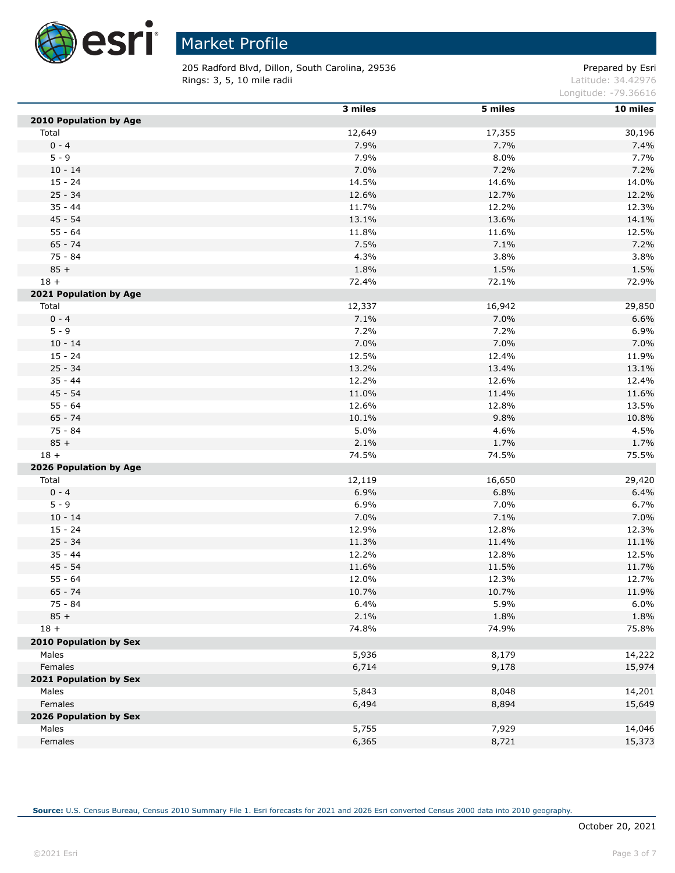

205 Radford Blvd, Dillon, South Carolina, 29536 Prepared by Esri **Rings: 3, 5, 10 mile radii** Latitude: 34.42976

Longitude: -79.36616

|                               | 3 miles | 5 miles | 10 miles |
|-------------------------------|---------|---------|----------|
| 2010 Population by Age        |         |         |          |
| Total                         | 12,649  | 17,355  | 30,196   |
| $0 - 4$                       | 7.9%    | 7.7%    | 7.4%     |
| $5 - 9$                       | 7.9%    | 8.0%    | 7.7%     |
| $10 - 14$                     | 7.0%    | 7.2%    | 7.2%     |
| $15 - 24$                     | 14.5%   | 14.6%   | 14.0%    |
| $25 - 34$                     | 12.6%   | 12.7%   | 12.2%    |
| $35 - 44$                     | 11.7%   | 12.2%   | 12.3%    |
| $45 - 54$                     | 13.1%   | 13.6%   | 14.1%    |
| $55 - 64$                     | 11.8%   | 11.6%   | 12.5%    |
| $65 - 74$                     | 7.5%    | 7.1%    | 7.2%     |
| $75 - 84$                     | 4.3%    | 3.8%    | 3.8%     |
| $85 +$                        | 1.8%    | 1.5%    | 1.5%     |
| $18 +$                        | 72.4%   | 72.1%   | 72.9%    |
| 2021 Population by Age        |         |         |          |
| Total                         | 12,337  | 16,942  | 29,850   |
| $0 - 4$                       | 7.1%    | 7.0%    | 6.6%     |
| $5 - 9$                       | 7.2%    | 7.2%    | 6.9%     |
| $10 - 14$                     | 7.0%    | 7.0%    | 7.0%     |
| $15 - 24$                     | 12.5%   | 12.4%   | 11.9%    |
| $25 - 34$                     | 13.2%   | 13.4%   | 13.1%    |
| $35 - 44$                     | 12.2%   | 12.6%   | 12.4%    |
| $45 - 54$                     | 11.0%   | 11.4%   | 11.6%    |
| $55 - 64$                     | 12.6%   | 12.8%   | 13.5%    |
| $65 - 74$                     | 10.1%   | 9.8%    | 10.8%    |
| 75 - 84                       | 5.0%    | 4.6%    | 4.5%     |
| $85 +$                        | 2.1%    | 1.7%    | 1.7%     |
| $18 +$                        | 74.5%   | 74.5%   | 75.5%    |
| 2026 Population by Age        |         |         |          |
| Total                         | 12,119  | 16,650  | 29,420   |
| $0 - 4$                       | 6.9%    | 6.8%    | 6.4%     |
| $5 - 9$                       | 6.9%    | 7.0%    | 6.7%     |
| $10 - 14$                     | 7.0%    | 7.1%    | 7.0%     |
| $15 - 24$                     | 12.9%   | 12.8%   | 12.3%    |
| $25 - 34$                     | 11.3%   | 11.4%   | 11.1%    |
| $35 - 44$                     | 12.2%   | 12.8%   | 12.5%    |
| $45 - 54$                     | 11.6%   | 11.5%   | 11.7%    |
| $55 - 64$                     | 12.0%   | 12.3%   | 12.7%    |
| $65 - 74$                     | 10.7%   | 10.7%   | 11.9%    |
| 75 - 84                       | 6.4%    | 5.9%    | 6.0%     |
| $85 +$                        | 2.1%    | 1.8%    | 1.8%     |
| $18 +$                        | 74.8%   | 74.9%   | 75.8%    |
| <b>2010 Population by Sex</b> |         |         |          |
| Males                         | 5,936   | 8,179   | 14,222   |
| Females                       | 6,714   | 9,178   | 15,974   |
| 2021 Population by Sex        |         |         |          |
| Males                         | 5,843   | 8,048   | 14,201   |
| Females                       | 6,494   | 8,894   | 15,649   |
| 2026 Population by Sex        |         |         |          |
| Males                         | 5,755   | 7,929   | 14,046   |
| Females                       | 6,365   | 8,721   | 15,373   |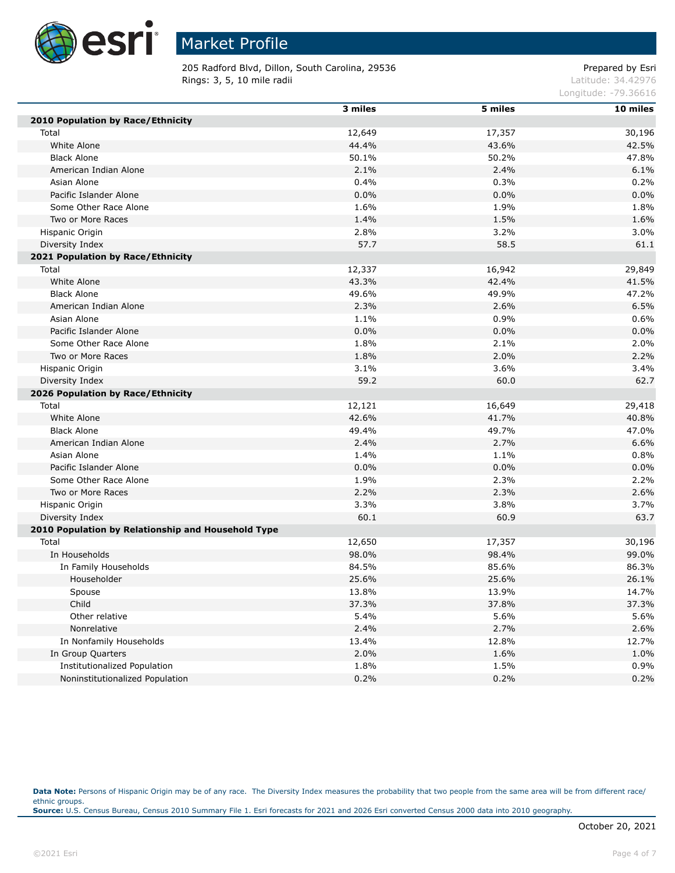

205 Radford Blvd, Dillon, South Carolina, 29536 Prepared by Esri **Rings: 3, 5, 10 mile radii** Latitude: 34.42976

Longitude: -79.36616

|                                                    | 3 miles | 5 miles      | 10 miles |
|----------------------------------------------------|---------|--------------|----------|
| 2010 Population by Race/Ethnicity                  |         |              |          |
| Total                                              | 12,649  | 17,357       | 30,196   |
| White Alone                                        | 44.4%   | 43.6%        | 42.5%    |
| <b>Black Alone</b>                                 | 50.1%   | 50.2%        | 47.8%    |
| American Indian Alone                              | 2.1%    | 2.4%         | 6.1%     |
| Asian Alone                                        | 0.4%    | 0.3%         | 0.2%     |
| Pacific Islander Alone                             | 0.0%    | 0.0%         | 0.0%     |
| Some Other Race Alone                              | 1.6%    | 1.9%         | 1.8%     |
| Two or More Races                                  | 1.4%    | 1.5%         | 1.6%     |
| Hispanic Origin                                    | 2.8%    | 3.2%         | 3.0%     |
| Diversity Index                                    | 57.7    | 58.5         | 61.1     |
| 2021 Population by Race/Ethnicity                  |         |              |          |
| Total                                              | 12,337  | 16,942       | 29,849   |
| White Alone                                        | 43.3%   | 42.4%        | 41.5%    |
| <b>Black Alone</b>                                 | 49.6%   | 49.9%        | 47.2%    |
| American Indian Alone                              | 2.3%    | 2.6%         | 6.5%     |
| Asian Alone                                        | 1.1%    | 0.9%         | 0.6%     |
| Pacific Islander Alone                             | 0.0%    | 0.0%         | 0.0%     |
| Some Other Race Alone                              | 1.8%    | 2.1%         | 2.0%     |
| Two or More Races                                  | 1.8%    | 2.0%         | 2.2%     |
| Hispanic Origin                                    | 3.1%    | 3.6%         | 3.4%     |
| Diversity Index                                    | 59.2    | 60.0         | 62.7     |
| 2026 Population by Race/Ethnicity                  |         |              |          |
| Total                                              | 12,121  | 16,649       | 29,418   |
| White Alone                                        | 42.6%   | 41.7%        | 40.8%    |
| <b>Black Alone</b>                                 | 49.4%   | 49.7%        | 47.0%    |
| American Indian Alone                              | 2.4%    | 2.7%         | 6.6%     |
| Asian Alone                                        | 1.4%    | 1.1%         | 0.8%     |
| Pacific Islander Alone                             | 0.0%    | 0.0%         | 0.0%     |
| Some Other Race Alone                              | 1.9%    | 2.3%         | 2.2%     |
| Two or More Races                                  | 2.2%    | 2.3%         | 2.6%     |
| Hispanic Origin                                    | 3.3%    | 3.8%         | 3.7%     |
| Diversity Index                                    | 60.1    | 60.9         | 63.7     |
| 2010 Population by Relationship and Household Type |         |              |          |
| Total                                              | 12,650  | 17,357       | 30,196   |
| In Households                                      | 98.0%   | 98.4%        | 99.0%    |
| In Family Households                               | 84.5%   | 85.6%        | 86.3%    |
| Householder                                        | 25.6%   | 25.6%        | 26.1%    |
| Spouse                                             | 13.8%   | 13.9%        | 14.7%    |
| Child                                              | 37.3%   | 37.8%        | 37.3%    |
|                                                    |         |              |          |
| Other relative                                     | 5.4%    | 5.6%<br>2.7% | 5.6%     |
| Nonrelative                                        | 2.4%    |              | 2.6%     |
| In Nonfamily Households                            | 13.4%   | 12.8%        | 12.7%    |
| In Group Quarters                                  | 2.0%    | 1.6%         | 1.0%     |
| Institutionalized Population                       | 1.8%    | 1.5%         | 0.9%     |
| Noninstitutionalized Population                    | 0.2%    | 0.2%         | 0.2%     |

Data Note: Persons of Hispanic Origin may be of any race. The Diversity Index measures the probability that two people from the same area will be from different race/ ethnic groups. **Source:** U.S. Census Bureau, Census 2010 Summary File 1. Esri forecasts for 2021 and 2026 Esri converted Census 2000 data into 2010 geography.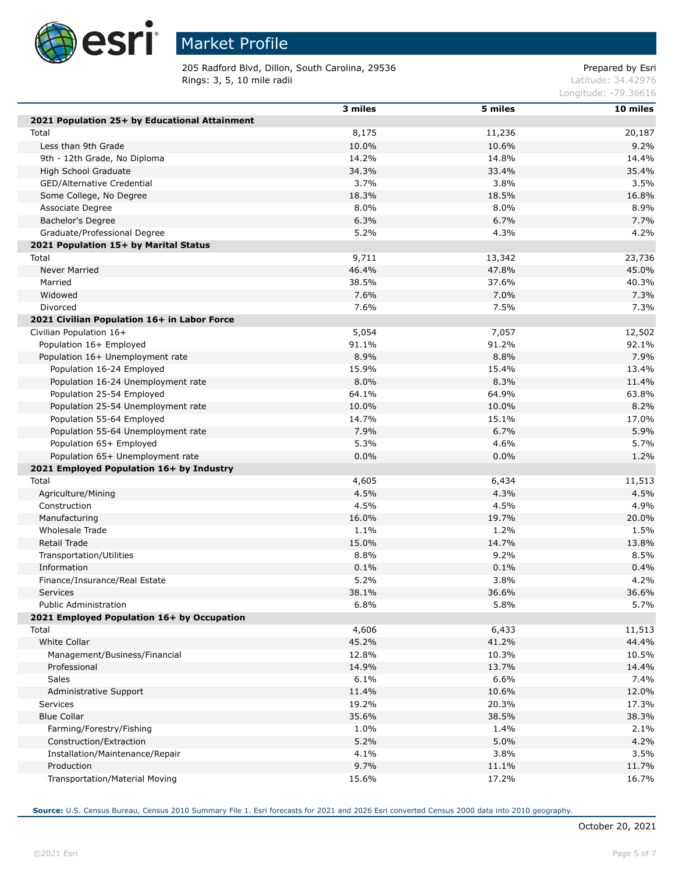

 $\overline{a}$ Г

Г

Г

# Market Profile

205 Radford Blvd, Dillon, South Carolina, 29536 Prepared by Esri **Rings: 3, 5, 10 mile radii** Latitude: 34.42976

Longitude: -79.36616

|                                               | 3 miles | 5 miles | $10$ miles |
|-----------------------------------------------|---------|---------|------------|
| 2021 Population 25+ by Educational Attainment |         |         |            |
| Total                                         | 8,175   | 11,236  | 20,187     |
| Less than 9th Grade                           | 10.0%   | 10.6%   | 9.2%       |
| 9th - 12th Grade, No Diploma                  | 14.2%   | 14.8%   | 14.4%      |
| High School Graduate                          | 34.3%   | 33.4%   | 35.4%      |
| GED/Alternative Credential                    | 3.7%    | 3.8%    | 3.5%       |
|                                               | 18.3%   | 18.5%   | 16.8%      |
| Some College, No Degree                       | 8.0%    | 8.0%    | 8.9%       |
| Associate Degree                              |         |         |            |
| Bachelor's Degree                             | 6.3%    | 6.7%    | 7.7%       |
| Graduate/Professional Degree                  | 5.2%    | 4.3%    | 4.2%       |
| 2021 Population 15+ by Marital Status         |         |         |            |
| Total                                         | 9,711   | 13,342  | 23,736     |
| <b>Never Married</b>                          | 46.4%   | 47.8%   | 45.0%      |
| Married                                       | 38.5%   | 37.6%   | 40.3%      |
| Widowed                                       | 7.6%    | 7.0%    | 7.3%       |
| Divorced                                      | 7.6%    | 7.5%    | 7.3%       |
| 2021 Civilian Population 16+ in Labor Force   |         |         |            |
| Civilian Population 16+                       | 5,054   | 7,057   | 12,502     |
| Population 16+ Employed                       | 91.1%   | 91.2%   | 92.1%      |
| Population 16+ Unemployment rate              | 8.9%    | 8.8%    | 7.9%       |
| Population 16-24 Employed                     | 15.9%   | 15.4%   | 13.4%      |
| Population 16-24 Unemployment rate            | 8.0%    | 8.3%    | 11.4%      |
| Population 25-54 Employed                     | 64.1%   | 64.9%   | 63.8%      |
| Population 25-54 Unemployment rate            | 10.0%   | 10.0%   | 8.2%       |
| Population 55-64 Employed                     | 14.7%   | 15.1%   | 17.0%      |
| Population 55-64 Unemployment rate            | 7.9%    | 6.7%    | 5.9%       |
| Population 65+ Employed                       | 5.3%    | 4.6%    | 5.7%       |
| Population 65+ Unemployment rate              | 0.0%    | 0.0%    | 1.2%       |
| 2021 Employed Population 16+ by Industry      |         |         |            |
| Total                                         | 4,605   | 6,434   | 11,513     |
| Agriculture/Mining                            | 4.5%    | 4.3%    | 4.5%       |
| Construction                                  | 4.5%    | 4.5%    | 4.9%       |
| Manufacturing                                 | 16.0%   | 19.7%   | 20.0%      |
| Wholesale Trade                               | 1.1%    | 1.2%    | 1.5%       |
| Retail Trade                                  | 15.0%   | 14.7%   | 13.8%      |
| Transportation/Utilities                      | 8.8%    | 9.2%    | 8.5%       |
| Information                                   | 0.1%    | 0.1%    | 0.4%       |
| Finance/Insurance/Real Estate                 | 5.2%    | 3.8%    | 4.2%       |
| Services                                      | 38.1%   | 36.6%   | 36.6%      |
| <b>Public Administration</b>                  | 6.8%    | 5.8%    | 5.7%       |
| 2021 Employed Population 16+ by Occupation    |         |         |            |
| Total                                         | 4,606   | 6,433   | 11,513     |
| White Collar                                  | 45.2%   | 41.2%   | 44.4%      |
| Management/Business/Financial                 | 12.8%   | 10.3%   | 10.5%      |
| Professional                                  | 14.9%   | 13.7%   | 14.4%      |
| Sales                                         | 6.1%    | 6.6%    | 7.4%       |
| Administrative Support                        | 11.4%   | 10.6%   | 12.0%      |
| Services                                      | 19.2%   | 20.3%   | 17.3%      |
| <b>Blue Collar</b>                            | 35.6%   | 38.5%   | 38.3%      |
| Farming/Forestry/Fishing                      | 1.0%    | 1.4%    | 2.1%       |
| Construction/Extraction                       | 5.2%    | 5.0%    | 4.2%       |
| Installation/Maintenance/Repair               | 4.1%    | 3.8%    | 3.5%       |
| Production                                    | 9.7%    | 11.1%   | 11.7%      |
| Transportation/Material Moving                | 15.6%   | 17.2%   | 16.7%      |

**Source:** U.S. Census Bureau, Census 2010 Summary File 1. Esri forecasts for 2021 and 2026 Esri converted Census 2000 data into 2010 geography.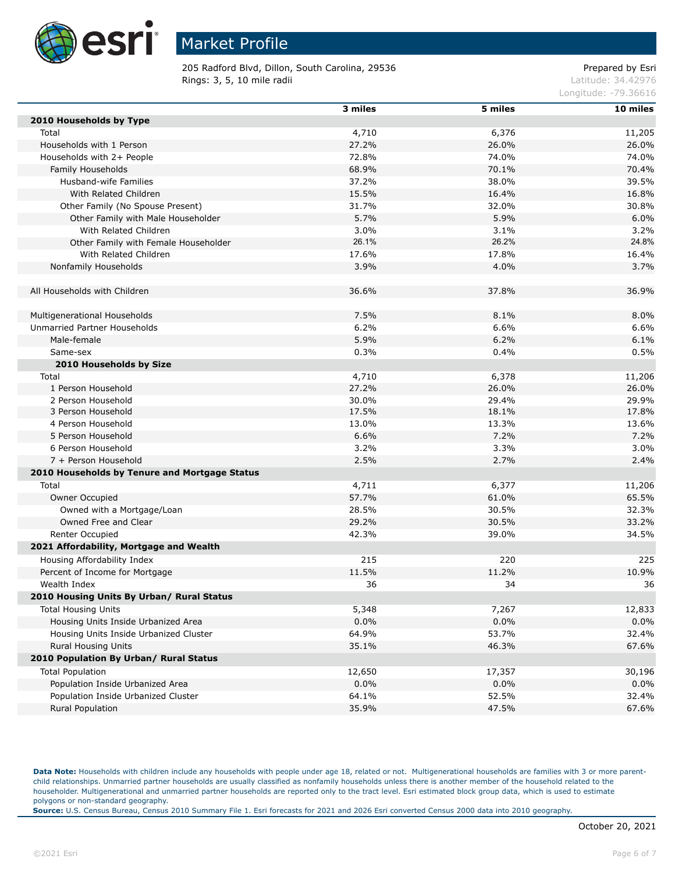

205 Radford Blvd, Dillon, South Carolina, 29536 Prepared by Esri **Rings: 3, 5, 10 mile radii**  $\blacksquare$  **Rings: 3, 5, 10 mile radii**  $\blacksquare$ 

Longitude: -79.36616

|                                               | 3 miles | 5 miles | 10 miles |
|-----------------------------------------------|---------|---------|----------|
| 2010 Households by Type                       |         |         |          |
| Total                                         | 4,710   | 6,376   | 11,205   |
| Households with 1 Person                      | 27.2%   | 26.0%   | 26.0%    |
| Households with 2+ People                     | 72.8%   | 74.0%   | 74.0%    |
| <b>Family Households</b>                      | 68.9%   | 70.1%   | 70.4%    |
| Husband-wife Families                         | 37.2%   | 38.0%   | 39.5%    |
| With Related Children                         | 15.5%   | 16.4%   | 16.8%    |
| Other Family (No Spouse Present)              | 31.7%   | 32.0%   | 30.8%    |
| Other Family with Male Householder            | 5.7%    | 5.9%    | 6.0%     |
| With Related Children                         | 3.0%    | 3.1%    | 3.2%     |
| Other Family with Female Householder          | 26.1%   | 26.2%   | 24.8%    |
| With Related Children                         | 17.6%   | 17.8%   | 16.4%    |
| Nonfamily Households                          | 3.9%    | 4.0%    | 3.7%     |
|                                               |         |         |          |
| All Households with Children                  | 36.6%   | 37.8%   | 36.9%    |
|                                               |         |         |          |
| Multigenerational Households                  | 7.5%    | 8.1%    | 8.0%     |
| Unmarried Partner Households                  | 6.2%    | 6.6%    | 6.6%     |
| Male-female                                   | 5.9%    | 6.2%    | 6.1%     |
| Same-sex                                      | 0.3%    | 0.4%    | 0.5%     |
| 2010 Households by Size                       |         |         |          |
| Total                                         | 4,710   | 6,378   | 11,206   |
| 1 Person Household                            | 27.2%   | 26.0%   | 26.0%    |
| 2 Person Household                            | 30.0%   | 29.4%   | 29.9%    |
| 3 Person Household                            | 17.5%   | 18.1%   | 17.8%    |
| 4 Person Household                            | 13.0%   | 13.3%   | 13.6%    |
| 5 Person Household                            | 6.6%    | 7.2%    | 7.2%     |
| 6 Person Household                            | 3.2%    | 3.3%    | 3.0%     |
| 7 + Person Household                          | 2.5%    | 2.7%    | 2.4%     |
| 2010 Households by Tenure and Mortgage Status |         |         |          |
| Total                                         | 4,711   | 6,377   | 11,206   |
| Owner Occupied                                | 57.7%   | 61.0%   | 65.5%    |
| Owned with a Mortgage/Loan                    | 28.5%   | 30.5%   | 32.3%    |
| Owned Free and Clear                          | 29.2%   | 30.5%   | 33.2%    |
| Renter Occupied                               | 42.3%   | 39.0%   | 34.5%    |
| 2021 Affordability, Mortgage and Wealth       |         |         |          |
| Housing Affordability Index                   | 215     | 220     | 225      |
| Percent of Income for Mortgage                | 11.5%   | 11.2%   | 10.9%    |
| Wealth Index                                  | 36      | 34      | 36       |
| 2010 Housing Units By Urban/ Rural Status     |         |         |          |
| <b>Total Housing Units</b>                    | 5,348   | 7,267   | 12,833   |
| Housing Units Inside Urbanized Area           | 0.0%    | 0.0%    | 0.0%     |
| Housing Units Inside Urbanized Cluster        | 64.9%   | 53.7%   | 32.4%    |
| <b>Rural Housing Units</b>                    | 35.1%   | 46.3%   | 67.6%    |
| 2010 Population By Urban/ Rural Status        |         |         |          |
| <b>Total Population</b>                       | 12,650  | 17,357  | 30,196   |
| Population Inside Urbanized Area              | 0.0%    | 0.0%    | 0.0%     |
| Population Inside Urbanized Cluster           | 64.1%   | 52.5%   | 32.4%    |
| Rural Population                              | 35.9%   | 47.5%   | 67.6%    |
|                                               |         |         |          |

Data Note: Households with children include any households with people under age 18, related or not. Multigenerational households are families with 3 or more parentchild relationships. Unmarried partner households are usually classified as nonfamily households unless there is another member of the household related to the householder. Multigenerational and unmarried partner households are reported only to the tract level. Esri estimated block group data, which is used to estimate polygons or non-standard geography.

**Source:** U.S. Census Bureau, Census 2010 Summary File 1. Esri forecasts for 2021 and 2026 Esri converted Census 2000 data into 2010 geography.